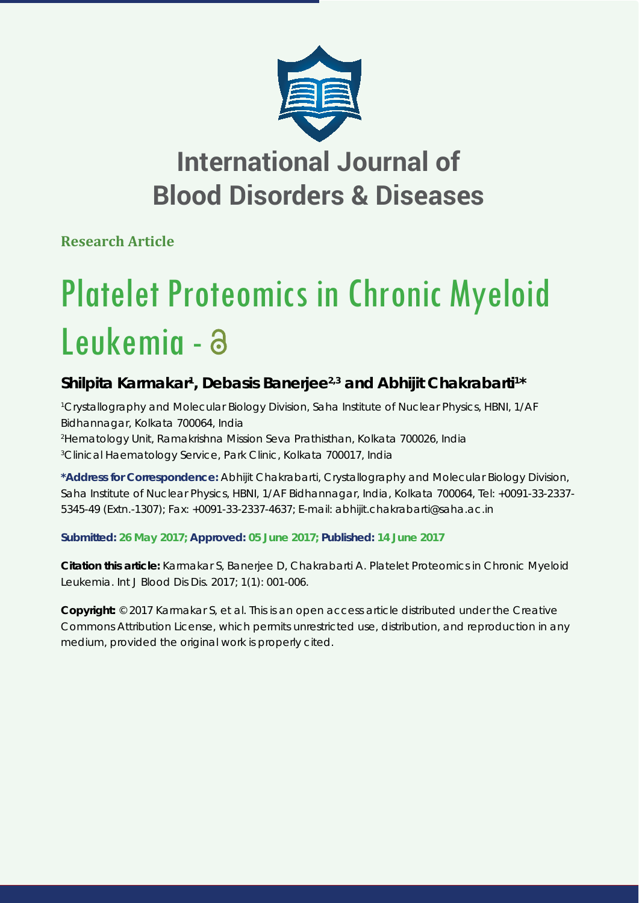

## **International Journal of Blood Disorders & Diseases**

**Research Article**

# Platelet Proteomics in Chronic Myeloid Leukemia -

### Shilpita Karmakar<sup>1</sup>, Debasis Banerjee<sup>2,3</sup> and Abhijit Chakrabarti<sup>1\*</sup>

 *Crystallography and Molecular Biology Division, Saha Institute of Nuclear Physics, HBNI, 1/AF Bidhannagar, Kolkata 700064, India Hematology Unit, Ramakrishna Mission Seva Prathisthan, Kolkata 700026, India Clinical Haematology Service, Park Clinic, Kolkata 700017, India*

**\*Address for Correspondence:** Abhijit Chakrabarti, Crystallography and Molecular Biology Division, Saha Institute of Nuclear Physics, HBNI, 1/AF Bidhannagar, India, Kolkata 700064, Tel: +0091-33-2337- 5345-49 (Extn.-1307); Fax: +0091-33-2337-4637; E-mail: abhijit.chakrabarti@saha.ac.in

**Submitted: 26 May 2017; Approved: 05 June 2017; Published: 14 June 2017**

**Citation this article:** Karmakar S, Banerjee D, Chakrabarti A. Platelet Proteomics in Chronic Myeloid Leukemia. Int J Blood Dis Dis. 2017; 1(1): 001-006.

**Copyright:** © 2017 Karmakar S, et al. This is an open access article distributed under the Creative Commons Attribution License, which permits unrestricted use, distribution, and reproduction in any medium, provided the original work is properly cited.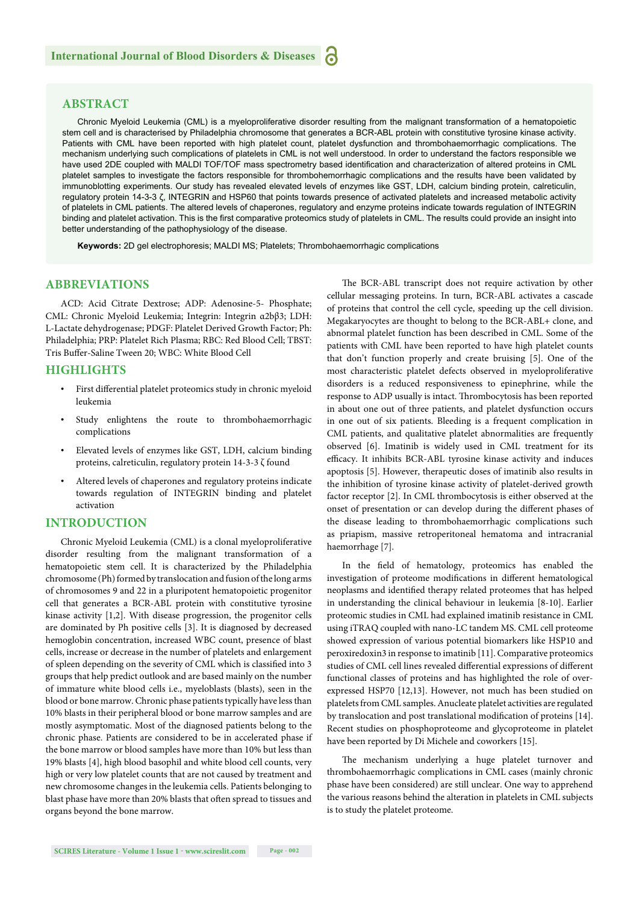#### **ABSTRACT**

Chronic Myeloid Leukemia (CML) is a myeloproliferative disorder resulting from the malignant transformation of a hematopoietic stem cell and is characterised by Philadelphia chromosome that generates a BCR-ABL protein with constitutive tyrosine kinase activity. Patients with CML have been reported with high platelet count, platelet dysfunction and thrombohaemorrhagic complications. The mechanism underlying such complications of platelets in CML is not well understood. In order to understand the factors responsible we have used 2DE coupled with MALDI TOF/TOF mass spectrometry based identification and characterization of altered proteins in CML platelet samples to investigate the factors responsible for thrombohemorrhagic complications and the results have been validated by immunoblotting experiments. Our study has revealed elevated levels of enzymes like GST, LDH, calcium binding protein, calreticulin, regulatory protein 14-3-3 ζ, INTEGRIN and HSP60 that points towards presence of activated platelets and increased metabolic activity of platelets in CML patients. The altered levels of chaperones, regulatory and enzyme proteins indicate towards regulation of INTEGRIN binding and platelet activation. This is the first comparative proteomics study of platelets in CML. The results could provide an insight into better understanding of the pathophysiology of the disease.

**Keywords:** 2D gel electrophoresis; MALDI MS; Platelets; Thrombohaemorrhagic complications

#### **ABBREVIATIONS**

ACD: Acid Citrate Dextrose; ADP: Adenosine-5- Phosphate; CML: Chronic Myeloid Leukemia; Integrin: Integrin α2bβ3; LDH: L-Lactate dehydrogenase; PDGF: Platelet Derived Growth Factor; Ph: Philadelphia; PRP: Platelet Rich Plasma; RBC: Red Blood Cell; TBST: Tris Buffer-Saline Tween 20; WBC: White Blood Cell

#### **HIGHLIGHTS**

- First differential platelet proteomics study in chronic myeloid leukemia
- Study enlightens the route to thrombohaemorrhagic complications
- Elevated levels of enzymes like GST, LDH, calcium binding proteins, calreticulin, regulatory protein 14-3-3 ζ found
- Altered levels of chaperones and regulatory proteins indicate towards regulation of INTEGRIN binding and platelet activation

#### **INTRODUCTION**

Chronic Myeloid Leukemia (CML) is a clonal myeloproliferative disorder resulting from the malignant transformation of a hematopoietic stem cell. It is characterized by the Philadelphia chromosome (Ph) formed by translocation and fusion of the long arms of chromosomes 9 and 22 in a pluripotent hematopoietic progenitor cell that generates a BCR-ABL protein with constitutive tyrosine kinase activity [1,2]. With disease progression, the progenitor cells are dominated by Ph positive cells [3]. It is diagnosed by decreased hemoglobin concentration, increased WBC count, presence of blast cells, increase or decrease in the number of platelets and enlargement of spleen depending on the severity of CML which is classified into 3 groups that help predict outlook and are based mainly on the number of immature white blood cells i.e., myeloblasts (blasts), seen in the blood or bone marrow. Chronic phase patients typically have less than 10% blasts in their peripheral blood or bone marrow samples and are mostly asymptomatic. Most of the diagnosed patients belong to the chronic phase. Patients are considered to be in accelerated phase if the bone marrow or blood samples have more than 10% but less than 19% blasts [4], high blood basophil and white blood cell counts, very high or very low platelet counts that are not caused by treatment and new chromosome changes in the leukemia cells. Patients belonging to blast phase have more than 20% blasts that often spread to tissues and organs beyond the bone marrow.

The BCR-ABL transcript does not require activation by other cellular messaging proteins. In turn, BCR-ABL activates a cascade of proteins that control the cell cycle, speeding up the cell division. Megakaryocytes are thought to belong to the BCR-ABL+ clone, and abnormal platelet function has been described in CML. Some of the patients with CML have been reported to have high platelet counts that don't function properly and create bruising [5]. One of the most characteristic platelet defects observed in myeloproliferative disorders is a reduced responsiveness to epinephrine, while the response to ADP usually is intact. Thrombocytosis has been reported in about one out of three patients, and platelet dysfunction occurs in one out of six patients. Bleeding is a frequent complication in CML patients, and qualitative platelet abnormalities are frequently observed [6]. Imatinib is widely used in CML treatment for its efficacy. It inhibits BCR-ABL tyrosine kinase activity and induces apoptosis [5]. However, therapeutic doses of imatinib also results in the inhibition of tyrosine kinase activity of platelet-derived growth factor receptor [2]. In CML thrombocytosis is either observed at the onset of presentation or can develop during the different phases of the disease leading to thrombohaemorrhagic complications such as priapism, massive retroperitoneal hematoma and intracranial haemorrhage [7].

In the field of hematology, proteomics has enabled the investigation of proteome modifications in different hematological neoplasms and identified therapy related proteomes that has helped in understanding the clinical behaviour in leukemia [8-10]. Earlier proteomic studies in CML had explained imatinib resistance in CML using iTRAQ coupled with nano-LC tandem MS. CML cell proteome showed expression of various potential biomarkers like HSP10 and peroxiredoxin3 in response to imatinib [11]. Comparative proteomics studies of CML cell lines revealed differential expressions of different functional classes of proteins and has highlighted the role of overexpressed HSP70 [12,13]. However, not much has been studied on platelets from CML samples. Anucleate platelet activities are regulated by translocation and post translational modification of proteins [14]. Recent studies on phosphoproteome and glycoproteome in platelet have been reported by Di Michele and coworkers [15].

The mechanism underlying a huge platelet turnover and thrombohaemorrhagic complications in CML cases (mainly chronic phase have been considered) are still unclear. One way to apprehend the various reasons behind the alteration in platelets in CML subjects is to study the platelet proteome.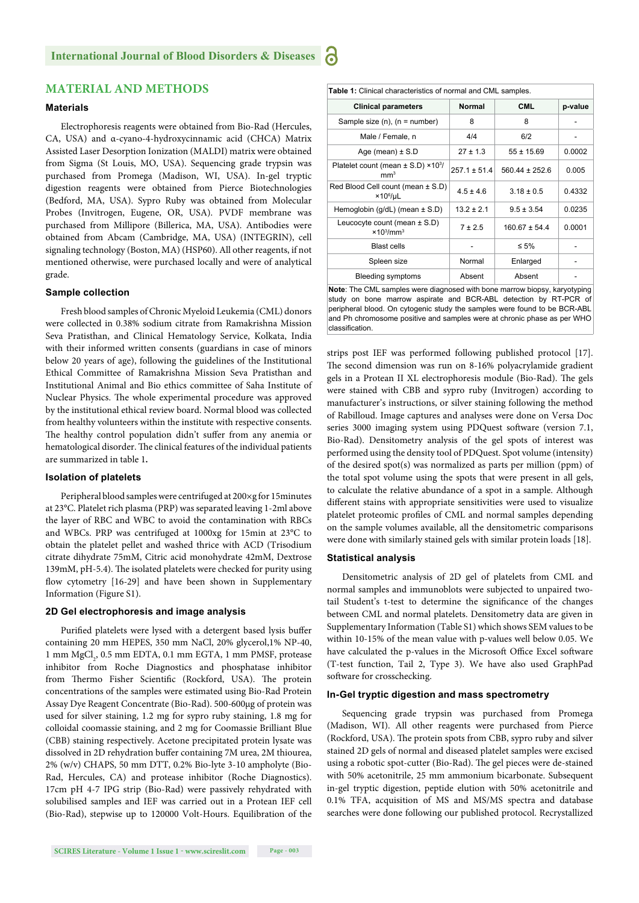#### **Materials**

Electrophoresis reagents were obtained from Bio-Rad (Hercules, CA, USA) and α-cyano-4-hydroxycinnamic acid (CHCA) Matrix Assisted Laser Desorption Ionization (MALDI) matrix were obtained from Sigma (St Louis, MO, USA). Sequencing grade trypsin was purchased from Promega (Madison, WI, USA). In-gel tryptic digestion reagents were obtained from Pierce Biotechnologies (Bedford, MA, USA). Sypro Ruby was obtained from Molecular Probes (Invitrogen, Eugene, OR, USA). PVDF membrane was purchased from Millipore (Billerica, MA, USA). Antibodies were obtained from Abcam (Cambridge, MA, USA) (INTEGRIN), cell signaling technology (Boston, MA) (HSP60). All other reagents, if not mentioned otherwise, were purchased locally and were of analytical grade.

#### **Sample collection**

Fresh blood samples of Chronic Myeloid Leukemia (CML) donors were collected in 0.38% sodium citrate from Ramakrishna Mission Seva Pratisthan, and Clinical Hematology Service, Kolkata, India with their informed written consents (guardians in case of minors below 20 years of age), following the guidelines of the Institutional Ethical Committee of Ramakrishna Mission Seva Pratisthan and Institutional Animal and Bio ethics committee of Saha Institute of Nuclear Physics. The whole experimental procedure was approved by the institutional ethical review board. Normal blood was collected from healthy volunteers within the institute with respective consents. The healthy control population didn't suffer from any anemia or hematological disorder. The clinical features of the individual patients are summarized in table 1**.** 

#### **Isolation of platelets**

Peripheral blood samples were centrifuged at 200×g for 15minutes at 23°C. Platelet rich plasma (PRP) was separated leaving 1-2ml above the layer of RBC and WBC to avoid the contamination with RBCs and WBCs. PRP was centrifuged at 1000xg for 15min at 23°C to obtain the platelet pellet and washed thrice with ACD (Trisodium citrate dihydrate 75mM, Citric acid monohydrate 42mM, Dextrose 139mM, pH-5.4). The isolated platelets were checked for purity using flow cytometry [16-29] and have been shown in Supplementary Information (Figure S1).

#### **2D Gel electrophoresis and image analysis**

Purified platelets were lysed with a detergent based lysis buffer containing 20 mm HEPES, 350 mm NaCl, 20% glycerol,1% NP-40,  $1~\mathrm{mm}~\mathrm{MgCl}_{2}$ 0.5 $\mathrm{mm}~\mathrm{EDTA}$ , 0.1 $\mathrm{mm}~\mathrm{EGTA}$ , 1 $\mathrm{mm}~\mathrm{PMSF}$ , protease inhibitor from Roche Diagnostics and phosphatase inhibitor from Thermo Fisher Scientific (Rockford, USA). The protein concentrations of the samples were estimated using Bio-Rad Protein Assay Dye Reagent Concentrate (Bio-Rad). 500-600μg of protein was used for silver staining, 1.2 mg for sypro ruby staining, 1.8 mg for colloidal coomassie staining, and 2 mg for Coomassie Brilliant Blue (CBB) staining respectively. Acetone precipitated protein lysate was dissolved in 2D rehydration buffer containing 7M urea, 2M thiourea, 2% (w/v) CHAPS, 50 mm DTT, 0.2% Bio-lyte 3-10 ampholyte (Bio-Rad, Hercules, CA) and protease inhibitor (Roche Diagnostics). 17cm pH 4-7 IPG strip (Bio-Rad) were passively rehydrated with solubilised samples and IEF was carried out in a Protean IEF cell (Bio-Rad), stepwise up to 120000 Volt-Hours. Equilibration of the

| Table 1: Clinical characteristics of normal and CML samples.                  |                  |                    |         |  |  |  |  |  |
|-------------------------------------------------------------------------------|------------------|--------------------|---------|--|--|--|--|--|
| <b>Clinical parameters</b>                                                    | <b>Normal</b>    | <b>CML</b>         | p-value |  |  |  |  |  |
| Sample size $(n)$ , $(n = number)$                                            | 8                | 8                  |         |  |  |  |  |  |
| Male / Female, n                                                              | 4/4              | 6/2                |         |  |  |  |  |  |
| Age (mean) $\pm$ S.D                                                          | $27 \pm 1.3$     | $55 \pm 15.69$     | 0.0002  |  |  |  |  |  |
| Platelet count (mean ± S.D) ×10 <sup>3</sup> /<br>mm <sup>3</sup>             | $257.1 \pm 51.4$ | $560.44 \pm 252.6$ | 0.005   |  |  |  |  |  |
| Red Blood Cell count (mean ± S.D)<br>×10 <sup>6</sup> /µL                     | $4.5 \pm 4.6$    | $3.18 \pm 0.5$     | 0.4332  |  |  |  |  |  |
| Hemoglobin (g/dL) (mean $\pm$ S.D)                                            | $13.2 \pm 2.1$   | $9.5 \pm 3.54$     | 0.0235  |  |  |  |  |  |
| Leucocyte count (mean $\pm$ S.D)<br>$\times$ 10 <sup>3</sup> /mm <sup>3</sup> | 7 ± 2.5          | $160.67 \pm 54.4$  | 0.0001  |  |  |  |  |  |
| <b>Blast cells</b>                                                            |                  | ≤ 5%               |         |  |  |  |  |  |
| Spleen size                                                                   | Normal           | Enlarged           |         |  |  |  |  |  |
| <b>Bleeding symptoms</b>                                                      | Absent           | Absent             |         |  |  |  |  |  |
| $\cdots$ $\cdots$ $\cdots$ $\cdots$ $\cdots$<br>$\cdots$<br>$\cdots$          |                  |                    |         |  |  |  |  |  |

**Note**: The CML samples were diagnosed with bone marrow biopsy, karyotyping study on bone marrow aspirate and BCR-ABL detection by RT-PCR of peripheral blood. On cytogenic study the samples were found to be BCR-ABL and Ph chromosome positive and samples were at chronic phase as per WHO classification.

strips post IEF was performed following published protocol [17]. The second dimension was run on 8-16% polyacrylamide gradient gels in a Protean II XL electrophoresis module (Bio-Rad). The gels were stained with CBB and sypro ruby (Invitrogen) according to manufacturer's instructions, or silver staining following the method of Rabilloud. Image captures and analyses were done on Versa Doc series 3000 imaging system using PDQuest software (version 7.1, Bio-Rad). Densitometry analysis of the gel spots of interest was performed using the density tool of PDQuest. Spot volume (intensity) of the desired spot(s) was normalized as parts per million (ppm) of the total spot volume using the spots that were present in all gels, to calculate the relative abundance of a spot in a sample. Although different stains with appropriate sensitivities were used to visualize platelet proteomic profiles of CML and normal samples depending on the sample volumes available, all the densitometric comparisons were done with similarly stained gels with similar protein loads [18].

#### **Statistical analysis**

Densitometric analysis of 2D gel of platelets from CML and normal samples and immunoblots were subjected to unpaired twotail Student's t-test to determine the significance of the changes between CML and normal platelets. Densitometry data are given in Supplementary Information (Table S1) which shows SEM values to be within 10-15% of the mean value with p-values well below 0.05. We have calculated the p-values in the Microsoft Office Excel software (T-test function, Tail 2, Type 3). We have also used GraphPad software for crosschecking.

#### **In-Gel tryptic digestion and mass spectrometry**

Sequencing grade trypsin was purchased from Promega (Madison, WI). All other reagents were purchased from Pierce (Rockford, USA). The protein spots from CBB, sypro ruby and silver stained 2D gels of normal and diseased platelet samples were excised using a robotic spot-cutter (Bio-Rad). The gel pieces were de-stained with 50% acetonitrile, 25 mm ammonium bicarbonate. Subsequent in-gel tryptic digestion, peptide elution with 50% acetonitrile and 0.1% TFA, acquisition of MS and MS/MS spectra and database searches were done following our published protocol. Recrystallized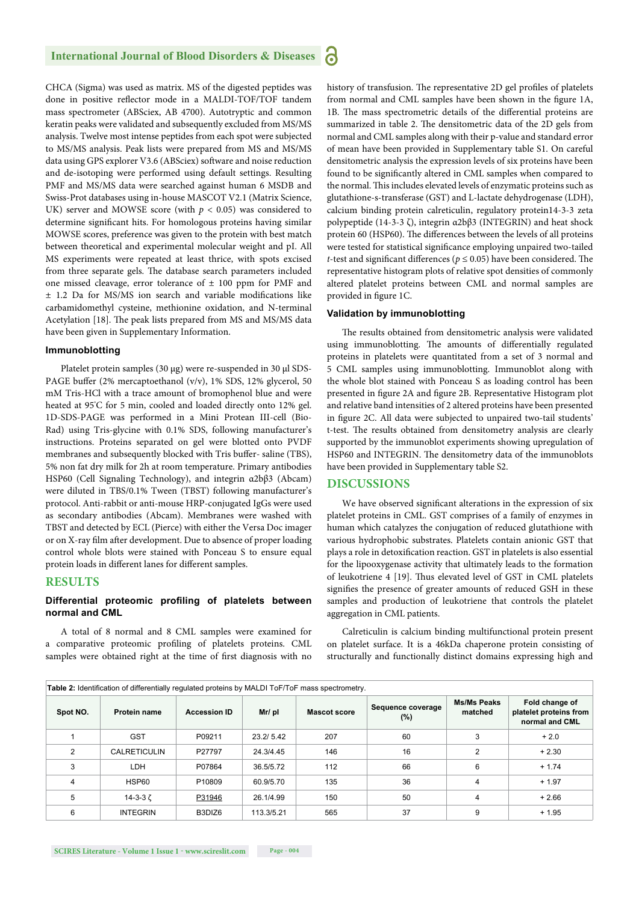CHCA (Sigma) was used as matrix. MS of the digested peptides was done in positive reflector mode in a MALDI-TOF/TOF tandem mass spectrometer (ABSciex, AB 4700). Autotryptic and common keratin peaks were validated and subsequently excluded from MS/MS analysis. Twelve most intense peptides from each spot were subjected to MS/MS analysis. Peak lists were prepared from MS and MS/MS data using GPS explorer V3.6 (ABSciex) software and noise reduction and de-isotoping were performed using default settings. Resulting PMF and MS/MS data were searched against human 6 MSDB and Swiss-Prot databases using in-house MASCOT V2.1 (Matrix Science, UK) server and MOWSE score (with  $p < 0.05$ ) was considered to determine significant hits. For homologous proteins having similar MOWSE scores, preference was given to the protein with best match between theoretical and experimental molecular weight and pI. All MS experiments were repeated at least thrice, with spots excised from three separate gels. The database search parameters included one missed cleavage, error tolerance of  $\pm$  100 ppm for PMF and  $±$  1.2 Da for MS/MS ion search and variable modifications like carbamidomethyl cysteine, methionine oxidation, and N-terminal Acetylation [18]. The peak lists prepared from MS and MS/MS data have been given in Supplementary Information.

#### **Immunoblotting**

Platelet protein samples (30 μg) were re-suspended in 30 μl SDS-PAGE buffer (2% mercaptoethanol (v/v), 1% SDS, 12% glycerol, 50 mM Tris-HCl with a trace amount of bromophenol blue and were heated at 95° C for 5 min, cooled and loaded directly onto 12% gel. 1D-SDS-PAGE was performed in a Mini Protean III-cell (Bio-Rad) using Tris-glycine with 0.1% SDS, following manufacturer's instructions. Proteins separated on gel were blotted onto PVDF membranes and subsequently blocked with Tris buffer-saline (TBS), 5% non fat dry milk for 2h at room temperature. Primary antibodies HSP60 (Cell Signaling Technology), and integrin α2bβ3 (Abcam) were diluted in TBS/0.1% Tween (TBST) following manufacturer's protocol. Anti-rabbit or anti-mouse HRP-conjugated IgGs were used as secondary antibodies (Abcam). Membranes were washed with TBST and detected by ECL (Pierce) with either the Versa Doc imager or on X-ray film after development. Due to absence of proper loading control whole blots were stained with Ponceau S to ensure equal protein loads in different lanes for different samples.

#### **RESULTS**

#### **Differential proteomic profiling of platelets between normal and CML**

A total of 8 normal and 8 CML samples were examined for a comparative proteomic profiling of platelets proteins. CML samples were obtained right at the time of first diagnosis with no history of transfusion. The representative 2D gel profiles of platelets from normal and CML samples have been shown in the figure 1A, 1B. The mass spectrometric details of the differential proteins are summarized in table 2. The densitometric data of the 2D gels from normal and CML samples along with their p-value and standard error of mean have been provided in Supplementary table S1. On careful densitometric analysis the expression levels of six proteins have been found to be significantly altered in CML samples when compared to the normal. This includes elevated levels of enzymatic proteins such as glutathione-s-transferase (GST) and L-lactate dehydrogenase (LDH), calcium binding protein calreticulin, regulatory protein14-3-3 zeta polypeptide (14-3-3 ζ), integrin α2bβ3 (INTEGRIN) and heat shock protein 60 (HSP60). The differences between the levels of all proteins were tested for statistical significance employing unpaired two-tailed *t*-test and significant differences ( $p \le 0.05$ ) have been considered. The representative histogram plots of relative spot densities of commonly altered platelet proteins between CML and normal samples are provided in figure 1C.

#### **Validation by immunoblotting**

The results obtained from densitometric analysis were validated using immunoblotting. The amounts of differentially regulated proteins in platelets were quantitated from a set of 3 normal and 5 CML samples using immunoblotting. Immunoblot along with the whole blot stained with Ponceau S as loading control has been presented in figure 2A and figure 2B. Representative Histogram plot and relative band intensities of 2 altered proteins have been presented in figure 2C. All data were subjected to unpaired two-tail students' t-test. The results obtained from densitometry analysis are clearly supported by the immunoblot experiments showing upregulation of HSP60 and INTEGRIN. The densitometry data of the immunoblots have been provided in Supplementary table S2.

#### **DISCUSSIONS**

We have observed significant alterations in the expression of six platelet proteins in CML. GST comprises of a family of enzymes in human which catalyzes the conjugation of reduced glutathione with various hydrophobic substrates. Platelets contain anionic GST that plays a role in detoxification reaction. GST in platelets is also essential for the lipooxygenase activity that ultimately leads to the formation of leukotriene 4 [19]. Thus elevated level of GST in CML platelets signifies the presence of greater amounts of reduced GSH in these samples and production of leukotriene that controls the platelet aggregation in CML patients.

Calreticulin is calcium binding multifunctional protein present on platelet surface. It is a 46kDa chaperone protein consisting of structurally and functionally distinct domains expressing high and

| <b>Table 2:</b> Identification of differentially regulated proteins by MALDI ToF/ToF mass spectrometry. |                     |                     |            |                     |                              |                               |                                                            |  |  |
|---------------------------------------------------------------------------------------------------------|---------------------|---------------------|------------|---------------------|------------------------------|-------------------------------|------------------------------------------------------------|--|--|
| Spot NO.                                                                                                | Protein name        | <b>Accession ID</b> | Mr/ pl     | <b>Mascot score</b> | Sequence coverage<br>$(\% )$ | <b>Ms/Ms Peaks</b><br>matched | Fold change of<br>platelet proteins from<br>normal and CML |  |  |
|                                                                                                         | <b>GST</b>          | P09211              | 23.2/5.42  | 207                 | 60                           | 3                             | $+2.0$                                                     |  |  |
| 2                                                                                                       | <b>CALRETICULIN</b> | P27797              | 24.3/4.45  | 146                 | 16                           | 2                             | $+2.30$                                                    |  |  |
| 3                                                                                                       | LDH                 | P07864              | 36.5/5.72  | 112                 | 66                           | 6                             | $+1.74$                                                    |  |  |
| 4                                                                                                       | HSP60               | P <sub>10809</sub>  | 60.9/5.70  | 135                 | 36                           | 4                             | $+1.97$                                                    |  |  |
| 5                                                                                                       | 14-3-3 $\zeta$      | P31946              | 26.1/4.99  | 150                 | 50                           | 4                             | $+2.66$                                                    |  |  |
| 6                                                                                                       | <b>INTEGRIN</b>     | B3DIZ6              | 113.3/5.21 | 565                 | 37                           | 9                             | $+1.95$                                                    |  |  |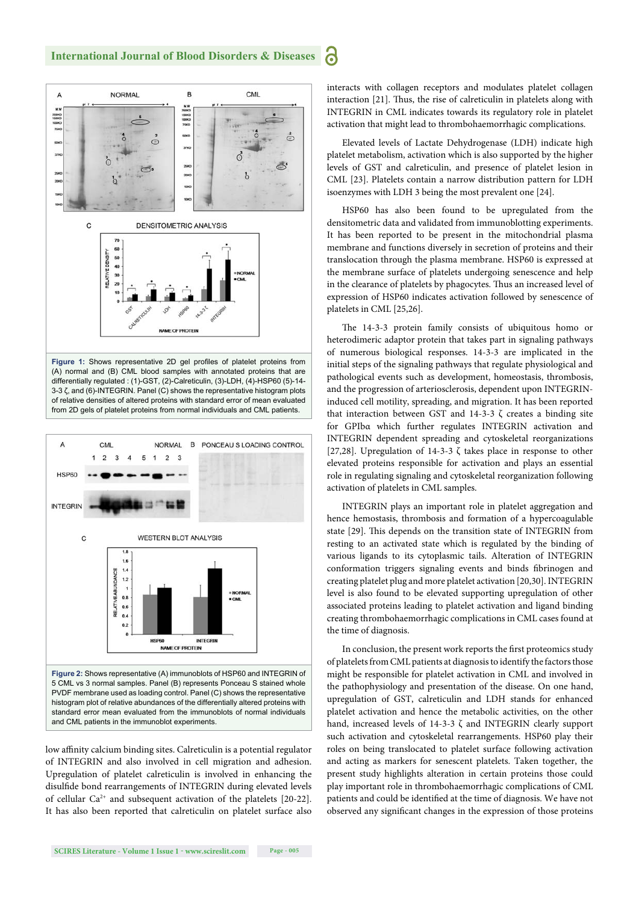

HSP60

and CML patients in the immunoblot experiments.

A

HSP60

**INTEGRIN** 

 $\mathbf{C}$ 

CMI

 $\overline{2}$ 

 $\mathbf{1}$ 

 $\overline{3}$  $\overline{4}$ 5  $\overline{1}$ 

> $18$ 1.6 1.4

> 0.6  $0.4$  $0.2$

**RELATIVE ABUNDANCE**  $1.2$  $\overline{\phantom{a}}$  $0.8$ 

of INTEGRIN and also involved in cell migration and adhesion. Upregulation of platelet calreticulin is involved in enhancing the disulfide bond rearrangements of INTEGRIN during elevated levels of cellular Ca<sup>2+</sup> and subsequent activation of the platelets [20-22]. It has also been reported that calreticulin on platelet surface also

**Figure 2:** Shows representative (A) immunoblots of HSP60 and INTEGRIN of 5 CML vs 3 normal samples. Panel (B) represents Ponceau S stained whole PVDF membrane used as loading control. Panel (C) shows the representative histogram plot of relative abundances of the differentially altered proteins with standard error mean evaluated from the immunoblots of normal individuals

**NAME OF PROTEIN** 

**INTEGRIN** 

heterodimeric adaptor protein that takes part in signaling pathways of numerous biological responses. 14-3-3 are implicated in the initial steps of the signaling pathways that regulate physiological and pathological events such as development, homeostasis, thrombosis, and the progression of arteriosclerosis, dependent upon INTEGRINinduced cell motility, spreading, and migration. It has been reported that interaction between GST and 14-3-3 ζ creates a binding site for GPIbα which further regulates INTEGRIN activation and INTEGRIN dependent spreading and cytoskeletal reorganizations [27,28]. Upregulation of 14-3-3 ζ takes place in response to other elevated proteins responsible for activation and plays an essential role in regulating signaling and cytoskeletal reorganization following activation of platelets in CML samples.

INTEGRIN plays an important role in platelet aggregation and hence hemostasis, thrombosis and formation of a hypercoagulable state [29]. This depends on the transition state of INTEGRIN from resting to an activated state which is regulated by the binding of various ligands to its cytoplasmic tails. Alteration of INTEGRIN conformation triggers signaling events and binds fibrinogen and creating platelet plug and more platelet activation [20,30]. INTEGRIN level is also found to be elevated supporting upregulation of other associated proteins leading to platelet activation and ligand binding creating thrombohaemorrhagic complications in CML cases found at the time of diagnosis.

In conclusion, the present work reports the first proteomics study of platelets from CML patients at diagnosis to identify the factors those might be responsible for platelet activation in CML and involved in the pathophysiology and presentation of the disease. On one hand, upregulation of GST, calreticulin and LDH stands for enhanced platelet activation and hence the metabolic activities, on the other hand, increased levels of 14-3-3 ζ and INTEGRIN clearly support such activation and cytoskeletal rearrangements. HSP60 play their roles on being translocated to platelet surface following activation and acting as markers for senescent platelets. Taken together, the present study highlights alteration in certain proteins those could play important role in thrombohaemorrhagic complications of CML patients and could be identified at the time of diagnosis. We have not observed any significant changes in the expression of those proteins

differentially regulated : (1)-GST, (2)-Calreticulin, (3)-LDH, (4)-HSP60 (5)-14- 3-3 ζ, and (6)-INTEGRIN. Panel (C) shows the representative histogram plots of relative densities of altered proteins with standard error of mean evaluated from 2D gels of platelet proteins from normal individuals and CML patients.

**NORMAL** 

 $2<sup>3</sup>$ 

**WESTERN BLOT ANALYSIS** 

B PONCEAU S LOADING CONTROL

CML



interacts with collagen receptors and modulates platelet collagen interaction [21]. Thus, the rise of calreticulin in platelets along with INTEGRIN in CML indicates towards its regulatory role in platelet activation that might lead to thrombohaemorrhagic complications.

Elevated levels of Lactate Dehydrogenase (LDH) indicate high platelet metabolism, activation which is also supported by the higher levels of GST and calreticulin, and presence of platelet lesion in CML [23]. Platelets contain a narrow distribution pattern for LDH isoenzymes with LDH 3 being the most prevalent one [24].

HSP60 has also been found to be upregulated from the densitometric data and validated from immunoblotting experiments. It has been reported to be present in the mitochondrial plasma membrane and functions diversely in secretion of proteins and their translocation through the plasma membrane. HSP60 is expressed at the membrane surface of platelets undergoing senescence and help in the clearance of platelets by phagocytes. Thus an increased level of expression of HSP60 indicates activation followed by senescence of platelets in CML [25,26].

The 14-3-3 protein family consists of ubiquitous homo or

**International Journal of Blood Disorders & Diseases**

ධ